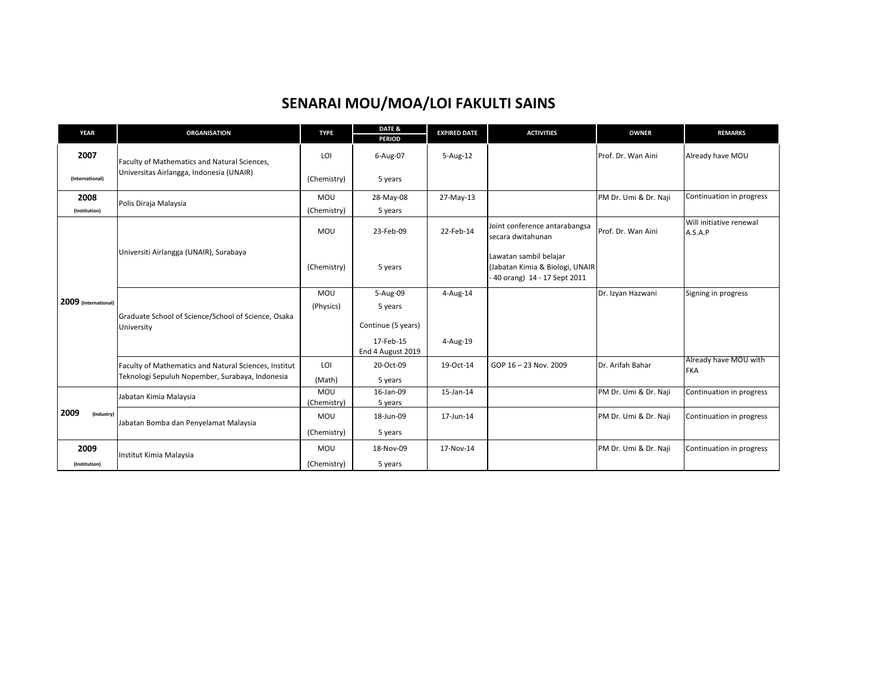|      | <b>YEAR</b>          | <b>ORGANISATION</b>                                                                                      | <b>TYPE</b>               | DATE &<br><b>PERIOD</b>                   | <b>EXPIRED DATE</b> | <b>ACTIVITIES</b>                                                                        | <b>OWNER</b>          | <b>REMARKS</b>                      |
|------|----------------------|----------------------------------------------------------------------------------------------------------|---------------------------|-------------------------------------------|---------------------|------------------------------------------------------------------------------------------|-----------------------|-------------------------------------|
|      | 2007                 | Faculty of Mathematics and Natural Sciences,<br>Universitas Airlangga, Indonesia (UNAIR)                 | LOI                       | 6-Aug-07                                  | $5 - Aug-12$        |                                                                                          | Prof. Dr. Wan Aini    | Already have MOU                    |
|      | (International)      |                                                                                                          | (Chemistry)               | 5 years                                   |                     |                                                                                          |                       |                                     |
|      | 2008                 | Polis Diraja Malaysia                                                                                    | <b>MOU</b>                | 28-May-08                                 | 27-May-13           |                                                                                          | PM Dr. Umi & Dr. Naji | Continuation in progress            |
|      | (Institution)        |                                                                                                          | (Chemistry)               | 5 years                                   |                     |                                                                                          |                       |                                     |
|      |                      | Universiti Airlangga (UNAIR), Surabaya                                                                   | MOU                       | 23-Feb-09                                 | 22-Feb-14           | Joint conference antarabangsa<br>secara dwitahunan                                       | Prof. Dr. Wan Aini    | Will initiative renewal<br>A.S.A.P  |
|      |                      |                                                                                                          | (Chemistry)               | 5 years                                   |                     | Lawatan sambil belajar<br>(Jabatan Kimia & Biologi, UNAIR<br>40 orang) 14 - 17 Sept 2011 |                       |                                     |
|      | 2009 (International) | Graduate School of Science/School of Science, Osaka<br>University                                        | MOU<br>(Physics)          | 5-Aug-09<br>5 years<br>Continue (5 years) | 4-Aug-14            |                                                                                          | Dr. Izyan Hazwani     | Signing in progress                 |
|      |                      |                                                                                                          |                           | 17-Feb-15<br>End 4 August 2019            | 4-Aug-19            |                                                                                          |                       |                                     |
|      |                      | Faculty of Mathematics and Natural Sciences, Institut<br>Teknologi Sepuluh Nopember, Surabaya, Indonesia | LOI<br>(Math)             | 20-Oct-09<br>5 years                      | 19-Oct-14           | GOP 16 - 23 Nov. 2009                                                                    | Dr. Arifah Bahar      | Already have MOU with<br><b>FKA</b> |
|      |                      | Jabatan Kimia Malaysia                                                                                   | <b>MOU</b><br>(Chemistry) | 16-Jan-09<br>5 years                      | 15-Jan-14           |                                                                                          | PM Dr. Umi & Dr. Naji | Continuation in progress            |
| 2009 | (Industry)           | Jabatan Bomba dan Penyelamat Malaysia                                                                    | <b>MOU</b><br>(Chemistry) | 18-Jun-09<br>5 years                      | 17-Jun-14           |                                                                                          | PM Dr. Umi & Dr. Naji | Continuation in progress            |
|      | 2009                 |                                                                                                          | MOU                       | 18-Nov-09                                 | 17-Nov-14           |                                                                                          | PM Dr. Umi & Dr. Naji | Continuation in progress            |
|      | (Institution)        | Institut Kimia Malaysia                                                                                  | (Chemistry)               | 5 years                                   |                     |                                                                                          |                       |                                     |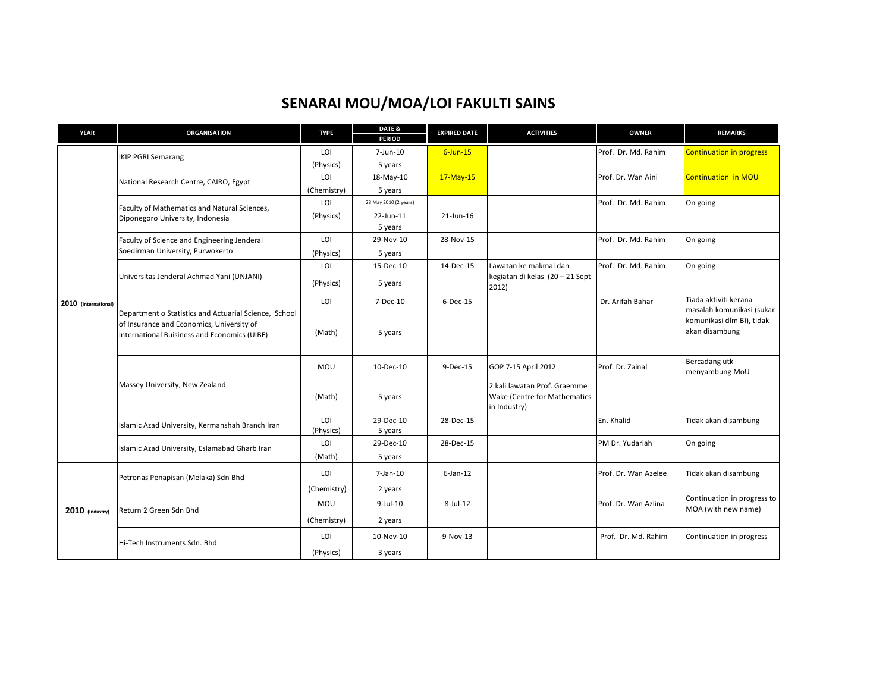| <b>YEAR</b>          | <b>ORGANISATION</b>                                                                                                                                | <b>TYPE</b>      | DATE &<br><b>PERIOD</b> | <b>EXPIRED DATE</b> | <b>ACTIVITIES</b>                                                                                   | <b>OWNER</b>         | <b>REMARKS</b>                                                                                    |
|----------------------|----------------------------------------------------------------------------------------------------------------------------------------------------|------------------|-------------------------|---------------------|-----------------------------------------------------------------------------------------------------|----------------------|---------------------------------------------------------------------------------------------------|
|                      | <b>IKIP PGRI Semarang</b>                                                                                                                          | LOI              | 7-Jun-10                | $6$ -Jun-15         |                                                                                                     | Prof. Dr. Md. Rahim  | <b>Continuation in progress</b>                                                                   |
|                      |                                                                                                                                                    | (Physics)        | 5 years                 |                     |                                                                                                     |                      |                                                                                                   |
|                      | National Research Centre, CAIRO, Egypt                                                                                                             | LOI              | 18-May-10               | 17-May-15           |                                                                                                     | Prof. Dr. Wan Aini   | <b>Continuation in MOU</b>                                                                        |
|                      |                                                                                                                                                    | (Chemistry)      | 5 years                 |                     |                                                                                                     |                      |                                                                                                   |
|                      | Faculty of Mathematics and Natural Sciences,                                                                                                       | LOI              | 28 May 2010 (2 years)   |                     |                                                                                                     | Prof. Dr. Md. Rahim  | On going                                                                                          |
|                      | Diponegoro University, Indonesia                                                                                                                   | (Physics)        | 22-Jun-11<br>5 years    | 21-Jun-16           |                                                                                                     |                      |                                                                                                   |
|                      | Faculty of Science and Engineering Jenderal                                                                                                        | LOI              | 29-Nov-10               | 28-Nov-15           |                                                                                                     | Prof. Dr. Md. Rahim  | On going                                                                                          |
|                      | Soedirman University, Purwokerto                                                                                                                   | (Physics)        | 5 years                 |                     |                                                                                                     |                      |                                                                                                   |
|                      |                                                                                                                                                    | LOI              | 15-Dec-10               | 14-Dec-15           | Lawatan ke makmal dan                                                                               | Prof. Dr. Md. Rahim  | On going                                                                                          |
|                      | Universitas Jenderal Achmad Yani (UNJANI)                                                                                                          | (Physics)        | 5 years                 |                     | kegiatan di kelas (20 - 21 Sept<br>2012)                                                            |                      |                                                                                                   |
| 2010 (International) | Department o Statistics and Actuarial Science, School<br>of Insurance and Economics, University of<br>International Buisiness and Economics (UIBE) | LOI<br>(Math)    | 7-Dec-10<br>5 years     | $6$ -Dec-15         |                                                                                                     | Dr. Arifah Bahar     | Tiada aktiviti kerana<br>masalah komunikasi (sukar<br>komunikasi dlm BI), tidak<br>akan disambung |
|                      | Massey University, New Zealand                                                                                                                     | MOU<br>(Math)    | 10-Dec-10<br>5 years    | $9-Dec-15$          | GOP 7-15 April 2012<br>2 kali lawatan Prof. Graemme<br>Wake (Centre for Mathematics<br>in Industry) | Prof. Dr. Zainal     | Bercadang utk<br>menyambung MoU                                                                   |
|                      | Islamic Azad University, Kermanshah Branch Iran                                                                                                    | LOI<br>(Physics) | 29-Dec-10<br>5 years    | 28-Dec-15           |                                                                                                     | En. Khalid           | Tidak akan disambung                                                                              |
|                      | Islamic Azad University, Eslamabad Gharb Iran                                                                                                      | LOI<br>(Math)    | 29-Dec-10<br>5 years    | 28-Dec-15           |                                                                                                     | PM Dr. Yudariah      | On going                                                                                          |
|                      | Petronas Penapisan (Melaka) Sdn Bhd                                                                                                                | LOI              | 7-Jan-10                | $6$ -Jan-12         |                                                                                                     | Prof. Dr. Wan Azelee | Tidak akan disambung                                                                              |
|                      |                                                                                                                                                    | (Chemistry)      | 2 years                 |                     |                                                                                                     |                      |                                                                                                   |
| 2010 (Industry)      | Return 2 Green Sdn Bhd                                                                                                                             | <b>MOU</b>       | $9$ -Jul-10             | 8-Jul-12            |                                                                                                     | Prof. Dr. Wan Azlina | Continuation in progress to<br>MOA (with new name)                                                |
|                      |                                                                                                                                                    | (Chemistry)      | 2 years                 |                     |                                                                                                     |                      |                                                                                                   |
|                      | Hi-Tech Instruments Sdn. Bhd                                                                                                                       | LOI              | 10-Nov-10               | 9-Nov-13            |                                                                                                     | Prof. Dr. Md. Rahim  | Continuation in progress                                                                          |
|                      |                                                                                                                                                    | (Physics)        | 3 years                 |                     |                                                                                                     |                      |                                                                                                   |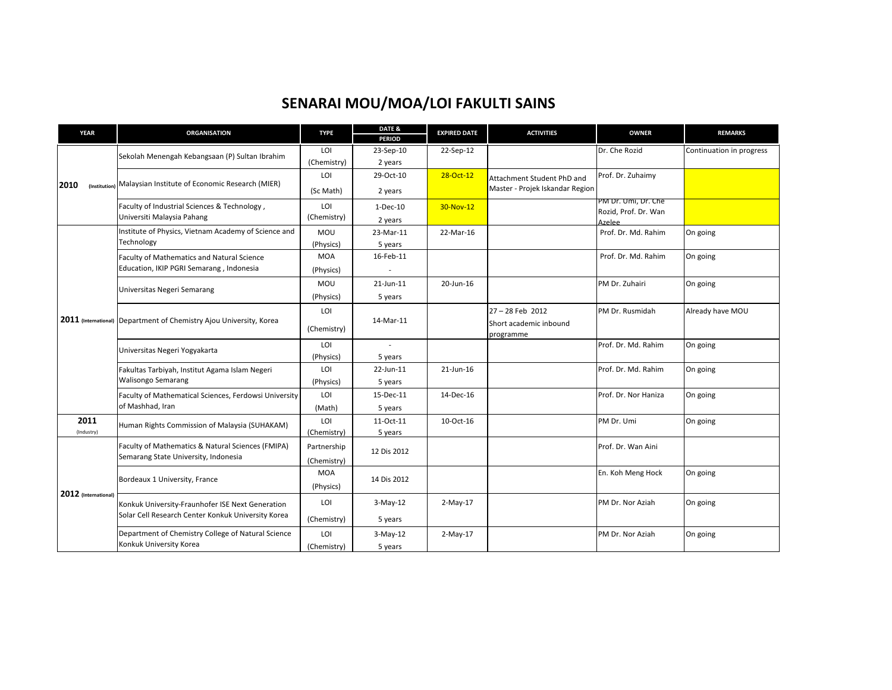| <b>YEAR</b>           | <b>ORGANISATION</b>                                                                                    | <b>TYPE</b> | DATE &          | <b>EXPIRED DATE</b> | <b>ACTIVITIES</b>               | <b>OWNER</b>                          | <b>REMARKS</b>           |
|-----------------------|--------------------------------------------------------------------------------------------------------|-------------|-----------------|---------------------|---------------------------------|---------------------------------------|--------------------------|
|                       |                                                                                                        |             | <b>PERIOD</b>   |                     |                                 |                                       |                          |
|                       | Sekolah Menengah Kebangsaan (P) Sultan Ibrahim                                                         | LOI         | 23-Sep-10       | 22-Sep-12           |                                 | Dr. Che Rozid                         | Continuation in progress |
|                       |                                                                                                        | (Chemistry) | 2 years         |                     |                                 |                                       |                          |
|                       | Malaysian Institute of Economic Research (MIER)                                                        | LOI         | 29-Oct-10       | 28-Oct-12           | Attachment Student PhD and      | Prof. Dr. Zuhaimy                     |                          |
| 2010<br>(Institution) |                                                                                                        | (Sc Math)   | 2 years         |                     | Master - Projek Iskandar Region |                                       |                          |
|                       | Faculty of Industrial Sciences & Technology,                                                           | LOI         | $1-Dec-10$      | 30-Nov-12           |                                 | PM Dr. Umi, Dr. Che                   |                          |
|                       | Universiti Malaysia Pahang                                                                             | (Chemistry) | 2 years         |                     |                                 | Rozid, Prof. Dr. Wan<br><b>Azelee</b> |                          |
|                       | Institute of Physics, Vietnam Academy of Science and                                                   | MOU         | 23-Mar-11       | 22-Mar-16           |                                 | Prof. Dr. Md. Rahim                   | On going                 |
|                       | Technology                                                                                             | (Physics)   | 5 years         |                     |                                 |                                       |                          |
|                       | Faculty of Mathematics and Natural Science                                                             | <b>MOA</b>  | 16-Feb-11       |                     |                                 | Prof. Dr. Md. Rahim                   | On going                 |
|                       | Education, IKIP PGRI Semarang, Indonesia                                                               |             |                 |                     |                                 |                                       |                          |
|                       |                                                                                                        | (Physics)   |                 |                     |                                 |                                       |                          |
|                       | Universitas Negeri Semarang                                                                            | MOU         | $21 - Jun - 11$ | 20-Jun-16           |                                 | PM Dr. Zuhairi                        | On going                 |
|                       |                                                                                                        | (Physics)   | 5 years         |                     |                                 |                                       |                          |
|                       | 2011 (International) Department of Chemistry Ajou University, Korea                                    | LOI         |                 |                     | 27-28 Feb 2012                  | PM Dr. Rusmidah                       | Already have MOU         |
|                       |                                                                                                        |             | 14-Mar-11       |                     | Short academic inbound          |                                       |                          |
|                       |                                                                                                        | (Chemistry) |                 |                     | programme                       |                                       |                          |
|                       | Universitas Negeri Yogyakarta                                                                          | LOI         |                 |                     |                                 | Prof. Dr. Md. Rahim                   | On going                 |
|                       |                                                                                                        | (Physics)   | 5 years         |                     |                                 |                                       |                          |
|                       | Fakultas Tarbiyah, Institut Agama Islam Negeri<br><b>Walisongo Semarang</b>                            | LOI         | 22-Jun-11       | 21-Jun-16           |                                 | Prof. Dr. Md. Rahim                   | On going                 |
|                       |                                                                                                        | (Physics)   | 5 years         |                     |                                 |                                       |                          |
|                       | Faculty of Mathematical Sciences, Ferdowsi University<br>of Mashhad, Iran                              | LOI         | 15-Dec-11       | 14-Dec-16           |                                 | Prof. Dr. Nor Haniza                  | On going                 |
|                       |                                                                                                        | (Math)      | 5 years         |                     |                                 |                                       |                          |
| 2011                  | Human Rights Commission of Malaysia (SUHAKAM)                                                          | LOI         | 11-Oct-11       | 10-Oct-16           |                                 | PM Dr. Umi                            | On going                 |
| (Industry)            |                                                                                                        | (Chemistry) | 5 years         |                     |                                 |                                       |                          |
|                       | Faculty of Mathematics & Natural Sciences (FMIPA)                                                      | Partnership |                 |                     |                                 | Prof. Dr. Wan Aini                    |                          |
|                       | Semarang State University, Indonesia                                                                   |             | 12 Dis 2012     |                     |                                 |                                       |                          |
| 2012 (International)  |                                                                                                        | (Chemistry) |                 |                     |                                 |                                       |                          |
|                       | Bordeaux 1 University, France                                                                          | <b>MOA</b>  | 14 Dis 2012     |                     |                                 | En. Koh Meng Hock                     | On going                 |
|                       |                                                                                                        | (Physics)   |                 |                     |                                 |                                       |                          |
|                       | Konkuk University-Fraunhofer ISE Next Generation<br>Solar Cell Research Center Konkuk University Korea | LOI         | $3-May-12$      | 2-May-17            |                                 | PM Dr. Nor Aziah                      | On going                 |
|                       |                                                                                                        | (Chemistry) | 5 years         |                     |                                 |                                       |                          |
|                       |                                                                                                        |             |                 |                     |                                 |                                       |                          |
|                       | Department of Chemistry College of Natural Science<br>Konkuk University Korea                          | LOI         | $3-May-12$      | 2-May-17            |                                 | PM Dr. Nor Aziah                      | On going                 |
|                       |                                                                                                        | (Chemistry) | 5 years         |                     |                                 |                                       |                          |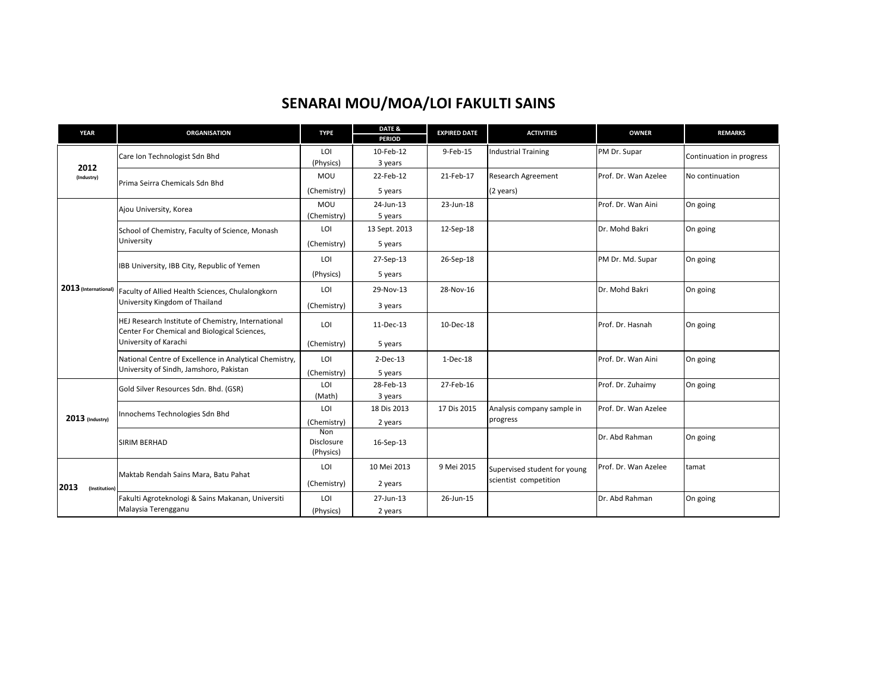| <b>YEAR</b>           | <b>ORGANISATION</b>                                                                                | <b>TYPE</b>                    | DATE &<br><b>PERIOD</b> | <b>EXPIRED DATE</b> | <b>ACTIVITIES</b>                                     | <b>OWNER</b>         | <b>REMARKS</b>           |
|-----------------------|----------------------------------------------------------------------------------------------------|--------------------------------|-------------------------|---------------------|-------------------------------------------------------|----------------------|--------------------------|
| 2012<br>(Industry)    | Care Ion Technologist Sdn Bhd                                                                      | LOI<br>(Physics)               | 10-Feb-12<br>3 years    | 9-Feb-15            | <b>Industrial Training</b>                            | PM Dr. Supar         | Continuation in progress |
|                       | Prima Seirra Chemicals Sdn Bhd                                                                     | MOU                            | 22-Feb-12               | 21-Feb-17           | <b>Research Agreement</b>                             | Prof. Dr. Wan Azelee | No continuation          |
|                       |                                                                                                    | (Chemistry)                    | 5 years                 |                     | (2 years)                                             |                      |                          |
|                       | Ajou University, Korea                                                                             | MOU<br>(Chemistry)             | 24-Jun-13<br>5 years    | 23-Jun-18           |                                                       | Prof. Dr. Wan Aini   | On going                 |
|                       | School of Chemistry, Faculty of Science, Monash                                                    | LOI                            | 13 Sept. 2013           | 12-Sep-18           |                                                       | Dr. Mohd Bakri       | On going                 |
|                       | University                                                                                         | (Chemistry)                    | 5 years                 |                     |                                                       |                      |                          |
|                       |                                                                                                    | LOI                            | 27-Sep-13               | 26-Sep-18           |                                                       | PM Dr. Md. Supar     | On going                 |
|                       | IBB University, IBB City, Republic of Yemen                                                        | (Physics)                      | 5 years                 |                     |                                                       |                      |                          |
| 2013 (International)  | Faculty of Allied Health Sciences, Chulalongkorn<br>University Kingdom of Thailand                 | LOI                            | 29-Nov-13               | 28-Nov-16           |                                                       | Dr. Mohd Bakri       | On going                 |
|                       |                                                                                                    | (Chemistry)                    | 3 years                 |                     |                                                       |                      |                          |
|                       | HEJ Research Institute of Chemistry, International<br>Center For Chemical and Biological Sciences, | LOI                            | 11-Dec-13               | 10-Dec-18           |                                                       | Prof. Dr. Hasnah     | On going                 |
|                       | University of Karachi                                                                              | (Chemistry)                    | 5 years                 |                     |                                                       |                      |                          |
|                       | National Centre of Excellence in Analytical Chemistry,<br>University of Sindh, Jamshoro, Pakistan  | LOI                            | $2$ -Dec-13             | $1-Dec-18$          |                                                       | Prof. Dr. Wan Aini   | On going                 |
|                       |                                                                                                    | (Chemistry)                    | 5 years                 |                     |                                                       |                      |                          |
|                       | Gold Silver Resources Sdn. Bhd. (GSR)                                                              | LOI                            | 28-Feb-13               | 27-Feb-16           |                                                       | Prof. Dr. Zuhaimy    | On going                 |
|                       | Innochems Technologies Sdn Bhd                                                                     | (Math)<br>LOI                  | 3 years<br>18 Dis 2013  | 17 Dis 2015         | Analysis company sample in                            | Prof. Dr. Wan Azelee |                          |
| $2013$ (Industry)     |                                                                                                    | (Chemistry)                    | 2 years                 |                     | progress                                              |                      |                          |
|                       | <b>SIRIM BERHAD</b>                                                                                | Non<br>Disclosure<br>(Physics) | 16-Sep-13               |                     |                                                       | Dr. Abd Rahman       | On going                 |
| 2013<br>(Institution) | Maktab Rendah Sains Mara, Batu Pahat                                                               | LOI                            | 10 Mei 2013             | 9 Mei 2015          | Supervised student for young<br>scientist competition | Prof. Dr. Wan Azelee | tamat                    |
|                       |                                                                                                    | (Chemistry)                    | 2 years                 |                     |                                                       |                      |                          |
|                       | Fakulti Agroteknologi & Sains Makanan, Universiti                                                  | LOI                            | 27-Jun-13               | 26-Jun-15           |                                                       | Dr. Abd Rahman       | On going                 |
|                       | Malaysia Terengganu                                                                                | (Physics)                      | 2 years                 |                     |                                                       |                      |                          |